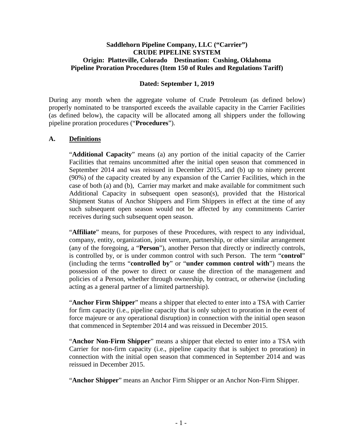### **Saddlehorn Pipeline Company, LLC ("Carrier") CRUDE PIPELINE SYSTEM Origin: Platteville, Colorado Destination: Cushing, Oklahoma Pipeline Proration Procedures (Item 150 of Rules and Regulations Tariff)**

### **Dated: September 1, 2019**

During any month when the aggregate volume of Crude Petroleum (as defined below) properly nominated to be transported exceeds the available capacity in the Carrier Facilities (as defined below), the capacity will be allocated among all shippers under the following pipeline proration procedures ("**Procedures**").

### **A. Definitions**

"**Additional Capacity**" means (a) any portion of the initial capacity of the Carrier Facilities that remains uncommitted after the initial open season that commenced in September 2014 and was reissued in December 2015, and (b) up to ninety percent (90%) of the capacity created by any expansion of the Carrier Facilities, which in the case of both (a) and (b), Carrier may market and make available for commitment such Additional Capacity in subsequent open season(s), provided that the Historical Shipment Status of Anchor Shippers and Firm Shippers in effect at the time of any such subsequent open season would not be affected by any commitments Carrier receives during such subsequent open season.

"**Affiliate**" means, for purposes of these Procedures, with respect to any individual, company, entity, organization, joint venture, partnership, or other similar arrangement (any of the foregoing, a "**Person**"), another Person that directly or indirectly controls, is controlled by, or is under common control with such Person. The term "**control**" (including the terms "**controlled by**" or "**under common control with**") means the possession of the power to direct or cause the direction of the management and policies of a Person, whether through ownership, by contract, or otherwise (including acting as a general partner of a limited partnership).

"**Anchor Firm Shipper**" means a shipper that elected to enter into a TSA with Carrier for firm capacity (i.e., pipeline capacity that is only subject to proration in the event of force majeure or any operational disruption) in connection with the initial open season that commenced in September 2014 and was reissued in December 2015.

"**Anchor Non-Firm Shipper**" means a shipper that elected to enter into a TSA with Carrier for non-firm capacity (i.e., pipeline capacity that is subject to proration) in connection with the initial open season that commenced in September 2014 and was reissued in December 2015.

"**Anchor Shipper**" means an Anchor Firm Shipper or an Anchor Non-Firm Shipper.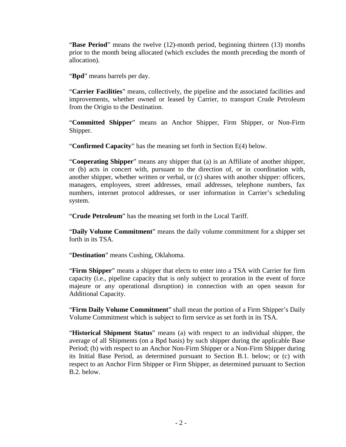"**Base Period**" means the twelve (12)-month period, beginning thirteen (13) months prior to the month being allocated (which excludes the month preceding the month of allocation).

"**Bpd**" means barrels per day.

"**Carrier Facilities**" means, collectively, the pipeline and the associated facilities and improvements, whether owned or leased by Carrier, to transport Crude Petroleum from the Origin to the Destination.

"**Committed Shipper**" means an Anchor Shipper, Firm Shipper, or Non-Firm Shipper.

"**Confirmed Capacity**" has the meaning set forth in Section E(4) below.

"**Cooperating Shipper**" means any shipper that (a) is an Affiliate of another shipper, or (b) acts in concert with, pursuant to the direction of, or in coordination with, another shipper, whether written or verbal, or (c) shares with another shipper: officers, managers, employees, street addresses, email addresses, telephone numbers, fax numbers, internet protocol addresses, or user information in Carrier's scheduling system.

"**Crude Petroleum**" has the meaning set forth in the Local Tariff.

"**Daily Volume Commitment**" means the daily volume commitment for a shipper set forth in its TSA.

"**Destination**" means Cushing, Oklahoma.

"**Firm Shipper**" means a shipper that elects to enter into a TSA with Carrier for firm capacity (i.e., pipeline capacity that is only subject to proration in the event of force majeure or any operational disruption) in connection with an open season for Additional Capacity.

"**Firm Daily Volume Commitment**" shall mean the portion of a Firm Shipper's Daily Volume Commitment which is subject to firm service as set forth in its TSA.

"**Historical Shipment Status**" means (a) with respect to an individual shipper, the average of all Shipments (on a Bpd basis) by such shipper during the applicable Base Period; (b) with respect to an Anchor Non-Firm Shipper or a Non-Firm Shipper during its Initial Base Period, as determined pursuant to Section B.1. below; or (c) with respect to an Anchor Firm Shipper or Firm Shipper, as determined pursuant to Section B.2. below.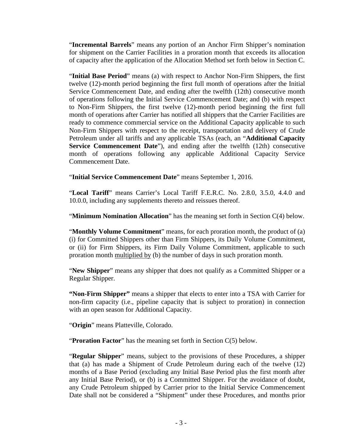"**Incremental Barrels**" means any portion of an Anchor Firm Shipper's nomination for shipment on the Carrier Facilities in a proration month that exceeds its allocation of capacity after the application of the Allocation Method set forth below in Section C.

"**Initial Base Period**" means (a) with respect to Anchor Non-Firm Shippers, the first twelve (12)-month period beginning the first full month of operations after the Initial Service Commencement Date, and ending after the twelfth (12th) consecutive month of operations following the Initial Service Commencement Date; and (b) with respect to Non-Firm Shippers, the first twelve (12)-month period beginning the first full month of operations after Carrier has notified all shippers that the Carrier Facilities are ready to commence commercial service on the Additional Capacity applicable to such Non-Firm Shippers with respect to the receipt, transportation and delivery of Crude Petroleum under all tariffs and any applicable TSAs (each, an "**Additional Capacity Service Commencement Date**"), and ending after the twelfth (12th) consecutive month of operations following any applicable Additional Capacity Service Commencement Date.

"**Initial Service Commencement Date**" means September 1, 2016.

"**Local Tariff**" means Carrier's Local Tariff F.E.R.C. No. 2.8.0, 3.5.0, 4.4.0 and 10.0.0, including any supplements thereto and reissues thereof.

"**Minimum Nomination Allocation**" has the meaning set forth in Section C(4) below.

"**Monthly Volume Commitment**" means, for each proration month, the product of (a) (i) for Committed Shippers other than Firm Shippers, its Daily Volume Commitment, or (ii) for Firm Shippers, its Firm Daily Volume Commitment, applicable to such proration month multiplied by (b) the number of days in such proration month.

"**New Shipper**" means any shipper that does not qualify as a Committed Shipper or a Regular Shipper.

**"Non-Firm Shipper"** means a shipper that elects to enter into a TSA with Carrier for non-firm capacity (i.e., pipeline capacity that is subject to proration) in connection with an open season for Additional Capacity.

"**Origin**" means Platteville, Colorado.

"**Proration Factor**" has the meaning set forth in Section C(5) below.

"**Regular Shipper**" means, subject to the provisions of these Procedures, a shipper that (a) has made a Shipment of Crude Petroleum during each of the twelve (12) months of a Base Period (excluding any Initial Base Period plus the first month after any Initial Base Period), or (b) is a Committed Shipper. For the avoidance of doubt, any Crude Petroleum shipped by Carrier prior to the Initial Service Commencement Date shall not be considered a "Shipment" under these Procedures, and months prior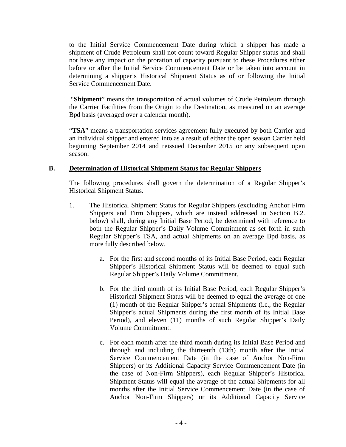to the Initial Service Commencement Date during which a shipper has made a shipment of Crude Petroleum shall not count toward Regular Shipper status and shall not have any impact on the proration of capacity pursuant to these Procedures either before or after the Initial Service Commencement Date or be taken into account in determining a shipper's Historical Shipment Status as of or following the Initial Service Commencement Date.

"**Shipment**" means the transportation of actual volumes of Crude Petroleum through the Carrier Facilities from the Origin to the Destination, as measured on an average Bpd basis (averaged over a calendar month).

"**TSA**" means a transportation services agreement fully executed by both Carrier and an individual shipper and entered into as a result of either the open season Carrier held beginning September 2014 and reissued December 2015 or any subsequent open season.

### **B. Determination of Historical Shipment Status for Regular Shippers**

The following procedures shall govern the determination of a Regular Shipper's Historical Shipment Status.

- 1. The Historical Shipment Status for Regular Shippers (excluding Anchor Firm Shippers and Firm Shippers, which are instead addressed in Section B.2. below) shall, during any Initial Base Period, be determined with reference to both the Regular Shipper's Daily Volume Commitment as set forth in such Regular Shipper's TSA, and actual Shipments on an average Bpd basis, as more fully described below.
	- a. For the first and second months of its Initial Base Period, each Regular Shipper's Historical Shipment Status will be deemed to equal such Regular Shipper's Daily Volume Commitment.
	- b. For the third month of its Initial Base Period, each Regular Shipper's Historical Shipment Status will be deemed to equal the average of one (1) month of the Regular Shipper's actual Shipments (i.e., the Regular Shipper's actual Shipments during the first month of its Initial Base Period), and eleven (11) months of such Regular Shipper's Daily Volume Commitment.
	- c. For each month after the third month during its Initial Base Period and through and including the thirteenth (13th) month after the Initial Service Commencement Date (in the case of Anchor Non-Firm Shippers) or its Additional Capacity Service Commencement Date (in the case of Non-Firm Shippers), each Regular Shipper's Historical Shipment Status will equal the average of the actual Shipments for all months after the Initial Service Commencement Date (in the case of Anchor Non-Firm Shippers) or its Additional Capacity Service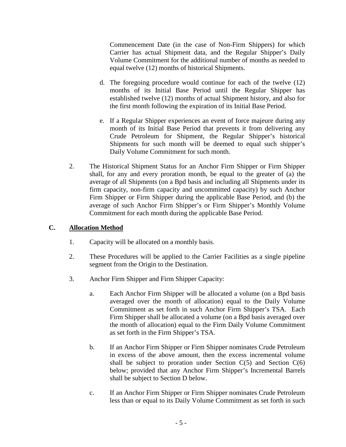Commencement Date (in the case of Non-Firm Shippers) for which Carrier has actual Shipment data, and the Regular Shipper's Daily Volume Commitment for the additional number of months as needed to equal twelve (12) months of historical Shipments.

- d. The foregoing procedure would continue for each of the twelve (12) months of its Initial Base Period until the Regular Shipper has established twelve (12) months of actual Shipment history, and also for the first month following the expiration of its Initial Base Period.
- e. If a Regular Shipper experiences an event of force majeure during any month of its Initial Base Period that prevents it from delivering any Crude Petroleum for Shipment, the Regular Shipper's historical Shipments for such month will be deemed to equal such shipper's Daily Volume Commitment for such month.
- 2. The Historical Shipment Status for an Anchor Firm Shipper or Firm Shipper shall, for any and every proration month, be equal to the greater of (a) the average of all Shipments (on a Bpd basis and including all Shipments under its firm capacity, non-firm capacity and uncommitted capacity) by such Anchor Firm Shipper or Firm Shipper during the applicable Base Period, and (b) the average of such Anchor Firm Shipper's or Firm Shipper's Monthly Volume Commitment for each month during the applicable Base Period.

## **C. Allocation Method**

- 1. Capacity will be allocated on a monthly basis.
- 2. These Procedures will be applied to the Carrier Facilities as a single pipeline segment from the Origin to the Destination.
- 3. Anchor Firm Shipper and Firm Shipper Capacity:
	- a. Each Anchor Firm Shipper will be allocated a volume (on a Bpd basis averaged over the month of allocation) equal to the Daily Volume Commitment as set forth in such Anchor Firm Shipper's TSA. Each Firm Shipper shall be allocated a volume (on a Bpd basis averaged over the month of allocation) equal to the Firm Daily Volume Commitment as set forth in the Firm Shipper's TSA.
	- b. If an Anchor Firm Shipper or Firm Shipper nominates Crude Petroleum in excess of the above amount, then the excess incremental volume shall be subject to proration under Section  $C(5)$  and Section  $C(6)$ below; provided that any Anchor Firm Shipper's Incremental Barrels shall be subject to Section D below.
	- c. If an Anchor Firm Shipper or Firm Shipper nominates Crude Petroleum less than or equal to its Daily Volume Commitment as set forth in such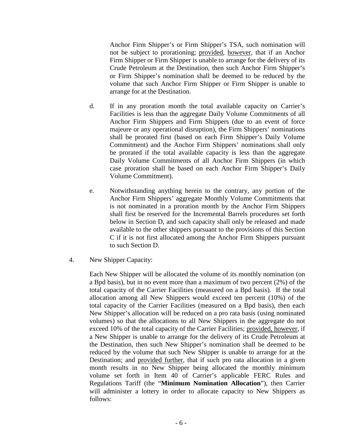Anchor Firm Shipper's or Firm Shipper's TSA, such nomination will not be subject to prorationing; provided, however, that if an Anchor Firm Shipper or Firm Shipper is unable to arrange for the delivery of its Crude Petroleum at the Destination, then such Anchor Firm Shipper's or Firm Shipper's nomination shall be deemed to be reduced by the volume that such Anchor Firm Shipper or Firm Shipper is unable to arrange for at the Destination.

- d. If in any proration month the total available capacity on Carrier's Facilities is less than the aggregate Daily Volume Commitments of all Anchor Firm Shippers and Firm Shippers (due to an event of force majeure or any operational disruption), the Firm Shippers' nominations shall be prorated first (based on each Firm Shipper's Daily Volume Commitment) and the Anchor Firm Shippers' nominations shall only be prorated if the total available capacity is less than the aggregate Daily Volume Commitments of all Anchor Firm Shippers (in which case proration shall be based on each Anchor Firm Shipper's Daily Volume Commitment).
- e. Notwithstanding anything herein to the contrary, any portion of the Anchor Firm Shippers' aggregate Monthly Volume Commitments that is not nominated in a proration month by the Anchor Firm Shippers shall first be reserved for the Incremental Barrels procedures set forth below in Section D, and such capacity shall only be released and made available to the other shippers pursuant to the provisions of this Section C if it is not first allocated among the Anchor Firm Shippers pursuant to such Section D.
- 4. New Shipper Capacity:

Each New Shipper will be allocated the volume of its monthly nomination (on a Bpd basis), but in no event more than a maximum of two percent (2%) of the total capacity of the Carrier Facilities (measured on a Bpd basis). If the total allocation among all New Shippers would exceed ten percent (10%) of the total capacity of the Carrier Facilities (measured on a Bpd basis), then each New Shipper's allocation will be reduced on a pro rata basis (using nominated volumes) so that the allocations to all New Shippers in the aggregate do not exceed 10% of the total capacity of the Carrier Facilities; provided, however, if a New Shipper is unable to arrange for the delivery of its Crude Petroleum at the Destination, then such New Shipper's nomination shall be deemed to be reduced by the volume that such New Shipper is unable to arrange for at the Destination; and provided further, that if such pro rata allocation in a given month results in no New Shipper being allocated the monthly minimum volume set forth in Item 40 of Carrier's applicable FERC Rules and Regulations Tariff (the "**Minimum Nomination Allocation**"), then Carrier will administer a lottery in order to allocate capacity to New Shippers as follows: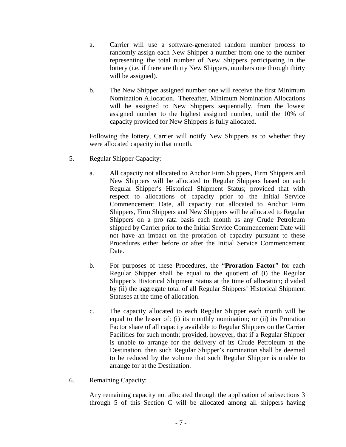- a. Carrier will use a software-generated random number process to randomly assign each New Shipper a number from one to the number representing the total number of New Shippers participating in the lottery (i.e. if there are thirty New Shippers, numbers one through thirty will be assigned).
- b. The New Shipper assigned number one will receive the first Minimum Nomination Allocation. Thereafter, Minimum Nomination Allocations will be assigned to New Shippers sequentially, from the lowest assigned number to the highest assigned number, until the 10% of capacity provided for New Shippers is fully allocated.

Following the lottery, Carrier will notify New Shippers as to whether they were allocated capacity in that month.

- 5. Regular Shipper Capacity:
	- a. All capacity not allocated to Anchor Firm Shippers, Firm Shippers and New Shippers will be allocated to Regular Shippers based on each Regular Shipper's Historical Shipment Status; provided that with respect to allocations of capacity prior to the Initial Service Commencement Date, all capacity not allocated to Anchor Firm Shippers, Firm Shippers and New Shippers will be allocated to Regular Shippers on a pro rata basis each month as any Crude Petroleum shipped by Carrier prior to the Initial Service Commencement Date will not have an impact on the proration of capacity pursuant to these Procedures either before or after the Initial Service Commencement Date.
	- b. For purposes of these Procedures, the "**Proration Factor**" for each Regular Shipper shall be equal to the quotient of (i) the Regular Shipper's Historical Shipment Status at the time of allocation; divided by (ii) the aggregate total of all Regular Shippers' Historical Shipment Statuses at the time of allocation.
	- c. The capacity allocated to each Regular Shipper each month will be equal to the lesser of: (i) its monthly nomination; or (ii) its Proration Factor share of all capacity available to Regular Shippers on the Carrier Facilities for such month; provided, however, that if a Regular Shipper is unable to arrange for the delivery of its Crude Petroleum at the Destination, then such Regular Shipper's nomination shall be deemed to be reduced by the volume that such Regular Shipper is unable to arrange for at the Destination.
- 6. Remaining Capacity:

Any remaining capacity not allocated through the application of subsections 3 through 5 of this Section C will be allocated among all shippers having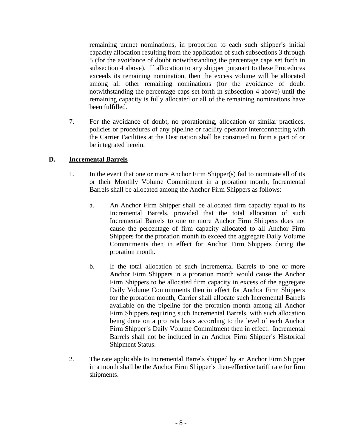remaining unmet nominations, in proportion to each such shipper's initial capacity allocation resulting from the application of such subsections 3 through 5 (for the avoidance of doubt notwithstanding the percentage caps set forth in subsection 4 above). If allocation to any shipper pursuant to these Procedures exceeds its remaining nomination, then the excess volume will be allocated among all other remaining nominations (for the avoidance of doubt notwithstanding the percentage caps set forth in subsection 4 above) until the remaining capacity is fully allocated or all of the remaining nominations have been fulfilled.

7. For the avoidance of doubt, no prorationing, allocation or similar practices, policies or procedures of any pipeline or facility operator interconnecting with the Carrier Facilities at the Destination shall be construed to form a part of or be integrated herein.

## **D. Incremental Barrels**

- 1. In the event that one or more Anchor Firm Shipper(s) fail to nominate all of its or their Monthly Volume Commitment in a proration month, Incremental Barrels shall be allocated among the Anchor Firm Shippers as follows:
	- a. An Anchor Firm Shipper shall be allocated firm capacity equal to its Incremental Barrels, provided that the total allocation of such Incremental Barrels to one or more Anchor Firm Shippers does not cause the percentage of firm capacity allocated to all Anchor Firm Shippers for the proration month to exceed the aggregate Daily Volume Commitments then in effect for Anchor Firm Shippers during the proration month.
	- b. If the total allocation of such Incremental Barrels to one or more Anchor Firm Shippers in a proration month would cause the Anchor Firm Shippers to be allocated firm capacity in excess of the aggregate Daily Volume Commitments then in effect for Anchor Firm Shippers for the proration month, Carrier shall allocate such Incremental Barrels available on the pipeline for the proration month among all Anchor Firm Shippers requiring such Incremental Barrels, with such allocation being done on a pro rata basis according to the level of each Anchor Firm Shipper's Daily Volume Commitment then in effect. Incremental Barrels shall not be included in an Anchor Firm Shipper's Historical Shipment Status.
- 2. The rate applicable to Incremental Barrels shipped by an Anchor Firm Shipper in a month shall be the Anchor Firm Shipper's then-effective tariff rate for firm shipments.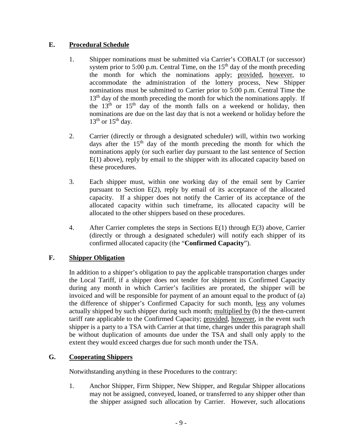## **E. Procedural Schedule**

- 1. Shipper nominations must be submitted via Carrier's COBALT (or successor) system prior to 5:00 p.m. Central Time, on the  $15<sup>th</sup>$  day of the month preceding the month for which the nominations apply; provided, however, to accommodate the administration of the lottery process, New Shipper nominations must be submitted to Carrier prior to 5:00 p.m. Central Time the  $13<sup>th</sup>$  day of the month preceding the month for which the nominations apply. If the  $13<sup>th</sup>$  or  $15<sup>th</sup>$  day of the month falls on a weekend or holiday, then nominations are due on the last day that is not a weekend or holiday before the  $13<sup>th</sup>$  or  $15<sup>th</sup>$  day.
- 2. Carrier (directly or through a designated scheduler) will, within two working days after the  $15<sup>th</sup>$  day of the month preceding the month for which the nominations apply (or such earlier day pursuant to the last sentence of Section E(1) above), reply by email to the shipper with its allocated capacity based on these procedures.
- 3. Each shipper must, within one working day of the email sent by Carrier pursuant to Section E(2), reply by email of its acceptance of the allocated capacity. If a shipper does not notify the Carrier of its acceptance of the allocated capacity within such timeframe, its allocated capacity will be allocated to the other shippers based on these procedures.
- 4. After Carrier completes the steps in Sections E(1) through E(3) above, Carrier (directly or through a designated scheduler) will notify each shipper of its confirmed allocated capacity (the "**Confirmed Capacity**").

# **F. Shipper Obligation**

In addition to a shipper's obligation to pay the applicable transportation charges under the Local Tariff, if a shipper does not tender for shipment its Confirmed Capacity during any month in which Carrier's facilities are prorated, the shipper will be invoiced and will be responsible for payment of an amount equal to the product of (a) the difference of shipper's Confirmed Capacity for such month, less any volumes actually shipped by such shipper during such month; multiplied by (b) the then-current tariff rate applicable to the Confirmed Capacity; provided, however, in the event such shipper is a party to a TSA with Carrier at that time, charges under this paragraph shall be without duplication of amounts due under the TSA and shall only apply to the extent they would exceed charges due for such month under the TSA.

# **G. Cooperating Shippers**

Notwithstanding anything in these Procedures to the contrary:

1. Anchor Shipper, Firm Shipper, New Shipper, and Regular Shipper allocations may not be assigned, conveyed, loaned, or transferred to any shipper other than the shipper assigned such allocation by Carrier. However, such allocations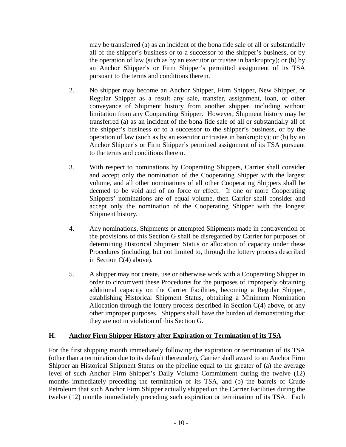may be transferred (a) as an incident of the bona fide sale of all or substantially all of the shipper's business or to a successor to the shipper's business, or by the operation of law (such as by an executor or trustee in bankruptcy); or (b) by an Anchor Shipper's or Firm Shipper's permitted assignment of its TSA pursuant to the terms and conditions therein.

- 2. No shipper may become an Anchor Shipper, Firm Shipper, New Shipper, or Regular Shipper as a result any sale, transfer, assignment, loan, or other conveyance of Shipment history from another shipper, including without limitation from any Cooperating Shipper. However, Shipment history may be transferred (a) as an incident of the bona fide sale of all or substantially all of the shipper's business or to a successor to the shipper's business, or by the operation of law (such as by an executor or trustee in bankruptcy); or (b) by an Anchor Shipper's or Firm Shipper's permitted assignment of its TSA pursuant to the terms and conditions therein.
- 3. With respect to nominations by Cooperating Shippers, Carrier shall consider and accept only the nomination of the Cooperating Shipper with the largest volume, and all other nominations of all other Cooperating Shippers shall be deemed to be void and of no force or effect. If one or more Cooperating Shippers' nominations are of equal volume, then Carrier shall consider and accept only the nomination of the Cooperating Shipper with the longest Shipment history.
- 4. Any nominations, Shipments or attempted Shipments made in contravention of the provisions of this Section G shall be disregarded by Carrier for purposes of determining Historical Shipment Status or allocation of capacity under these Procedures (including, but not limited to, through the lottery process described in Section C(4) above).
- 5. A shipper may not create, use or otherwise work with a Cooperating Shipper in order to circumvent these Procedures for the purposes of improperly obtaining additional capacity on the Carrier Facilities, becoming a Regular Shipper, establishing Historical Shipment Status, obtaining a Minimum Nomination Allocation through the lottery process described in Section  $C(4)$  above, or any other improper purposes. Shippers shall have the burden of demonstrating that they are not in violation of this Section G.

# **H. Anchor Firm Shipper History after Expiration or Termination of its TSA**

For the first shipping month immediately following the expiration or termination of its TSA (other than a termination due to its default thereunder), Carrier shall award to an Anchor Firm Shipper an Historical Shipment Status on the pipeline equal to the greater of (a) the average level of such Anchor Firm Shipper's Daily Volume Commitment during the twelve (12) months immediately preceding the termination of its TSA, and (b) the barrels of Crude Petroleum that such Anchor Firm Shipper actually shipped on the Carrier Facilities during the twelve (12) months immediately preceding such expiration or termination of its TSA. Each